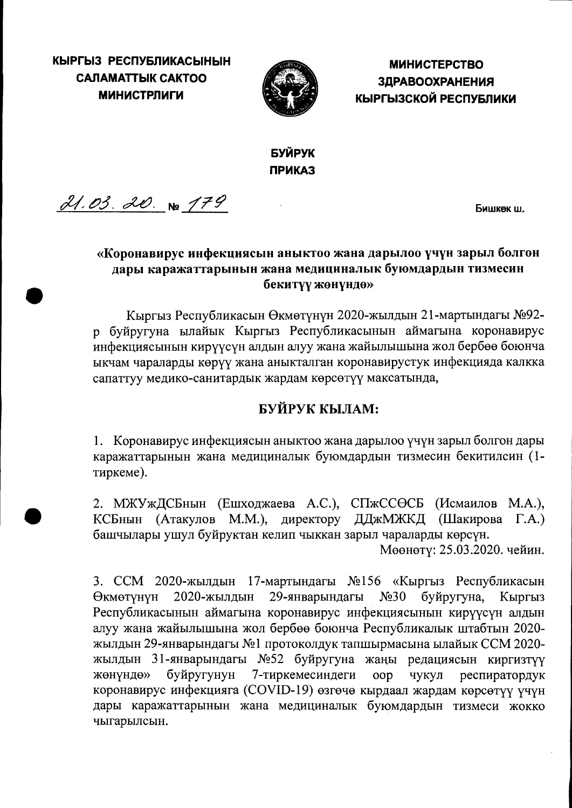КЫРГЫЗ РЕСПУБЛИКАСЫНЫН **САЛАМАТТЫК САКТОО МИНИСТРЛИГИ** 



**МИНИСТЕРСТВО ЗДРАВООХРАНЕНИЯ** КЫРГЫЗСКОЙ РЕСПУБЛИКИ

БУЙРУК **ПРИКАЗ** 

 $21.03.20.8$  179

Бишкек ш.

### «Коронавирус инфекциясын аныктоо жана дарылоо үчүн зарыл болгон дары каражаттарынын жана медициналык буюмдардын тизмесин бекитүү жөнүндө»

Кыргыз Республикасын Өкмөтүнүн 2020-жылдын 21-мартындагы №92р буйругуна ылайык Кыргыз Республикасынын аймагына коронавирус инфекциясынын кирүүсүн алдын алуу жана жайылышына жол бербөө боюнча ыкчам чараларды көрүү жана аныкталган коронавирустук инфекцияда калкка сапаттуу медико-санитардык жардам көрсөтүү максатында,

## БУЙРУК КЫЛАМ:

1. Коронавирус инфекциясын аныктоо жана дарылоо үчүн зарыл болгон дары каражаттарынын жана медициналык буюмдардын тизмесин бекитилсин (1тиркеме).

2. МЖУжДСБнын (Ешходжаева А.С.), СПжССӨСБ (Исмаилов М.А.), КСБнын (Атакулов М.М.), директору ДДжМЖКД (Шакирова Г.А.) башчылары ушул буйруктан келип чыккан зарыл чараларды көрсүн.

Мөөнөтү: 25.03.2020. чейин.

3. ССМ 2020-жылдын 17-мартындагы №156 «Кыргыз Республикасын Өкмөтүнүн 2020-жылдын 29-январындагы  $N<sub>230</sub>$ буйругуна. Кыргыз Республикасынын аймагына коронавирус инфекциясынын кирүүсүн алдын алуу жана жайылышына жол бербөө боюнча Республикалык штабтын 2020жылдын 29-январындагы №1 протоколдук тапшырмасына ылайык ССМ 2020жылдын 31-январындагы №52 буйругуна жаңы редациясын киргизтүү 7-тиркемесиндеги жөнүндө» буйругунун oop чукул респиратордук коронавирус инфекцияга (COVID-19) өзгөчө кырдаал жардам көрсөтүү үчүн дары каражаттарынын жана медициналык буюмдардын тизмеси жокко чыгарылсын.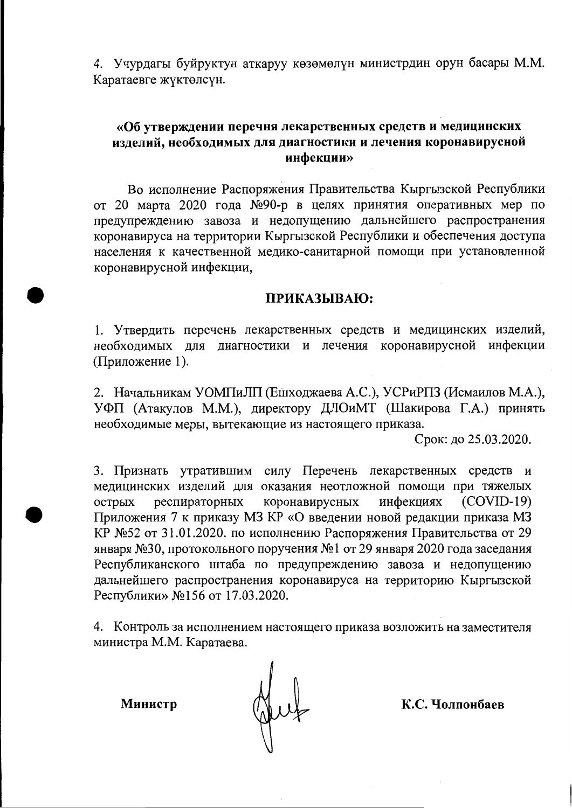4. Учурдагы буйруктун аткаруу көзөмөлүн министрдин орун басары М.М. Каратаевге жүктөлсүн.

#### «Об утверждении перечня лекарственных средств и медицинских изделий, необходимых для диагностики и лечения коронавирусной инфекции»

Во исполнение Распоряжения Правительства Кыргызской Республики от 20 марта 2020 года №90-р в целях принятия оперативных мер по предупреждению завоза и недопущению дальнейшего распространения коронавируса на территории Кыргызской Республики и обеспечения доступа населения к качественной медико-санитарной помощи при установленной коронавирусной инфекции,

#### ПРИКАЗЫВАЮ:

1. Утвердить перечень лекарственных средств и медицинских изделий, необходимых для диагностики и лечения коронавирусной инфекции (Приложение 1).

2. Начальникам УОМПиЛП (Ешходжаева А.С.), УСРиРПЗ (Исмаилов М.А.), УФП (Атакулов М.М.), директору ДЛОиМТ (Шакирова Г.А.) принять необходимые меры, вытекающие из настоящего приказа.

Срок: до 25.03.2020.

3. Признать утратившим силу Перечень лекарственных средств и медицинских изделий для оказания неотложной помощи при тяжелых респираторных коронавирусных инфекциях  $(COVID-19)$ острых Приложения 7 к приказу МЗ КР «О введении новой редакции приказа МЗ КР №52 от 31.01.2020. по исполнению Распоряжения Правительства от 29 января №30, протокольного поручения №1 от 29 января 2020 года заседания Республиканского штаба по предупреждению завоза и недопущению дальнейшего распространения коронавируса на территорию Кыргызской Республики» №156 от 17.03.2020.

4. Контроль за исполнением настоящего приказа возложить на заместителя министра М.М. Каратаева.

Министр

Hut

К.С. Чолпонбаев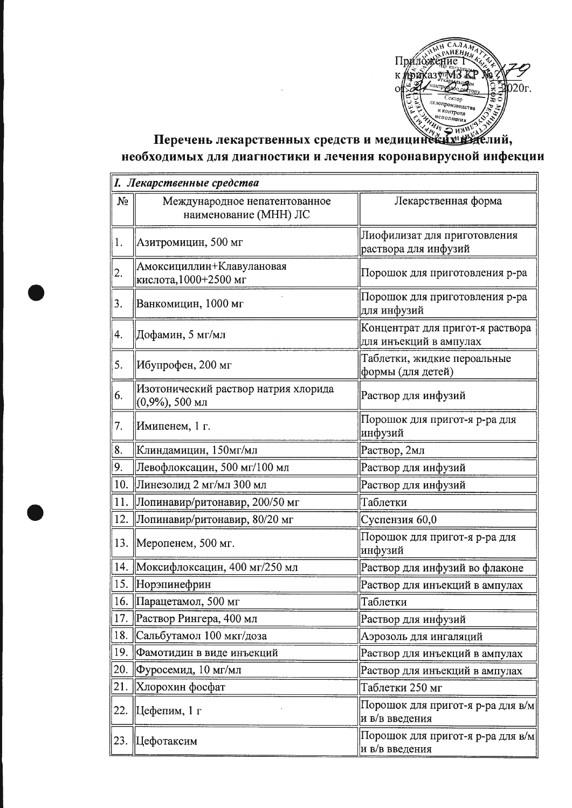

# Перечень лекарственных средств и медициненных необходимых для диагностики и лечения коронавирусной инфекции

|       | І. Лекарственные средства                                  |                                                            |  |
|-------|------------------------------------------------------------|------------------------------------------------------------|--|
| $N_2$ | Международное непатентованное<br>наименование (МНН) ЛС     | Лекарственная форма                                        |  |
| 1.    | Азитромицин, 500 мг                                        | Лиофилизат для приготовления<br>раствора для инфузий       |  |
| 2.    | Амоксициллин+Клавулановая<br>кислота, 1000+2500 мг         | Порошок для приготовления р-ра                             |  |
| 3.    | Ванкомицин, 1000 мг                                        | Порошок для приготовления р-ра<br>для инфузий              |  |
| 4.    | Дофамин, 5 мг/мл                                           | Концентрат для пригот-я раствора<br>для инъекций в ампулах |  |
| 5.    | Ибупрофен, 200 мг                                          | Таблетки, жидкие пероальные<br>формы (для детей)           |  |
| 6.    | Изотонический раствор натрия хлорида<br>$(0,9\%)$ , 500 мл | Раствор для инфузий                                        |  |
| 7.    | Имипенем, 1 г.                                             | Порошок для пригот-я р-ра для<br>инфузий                   |  |
| 8.    | Клиндамицин, 150мг/мл                                      | Раствор, 2мл                                               |  |
| 9.    | Левофлоксацин, 500 мг/100 мл                               | Раствор для инфузий                                        |  |
| 10.   | Линезолид 2 мг/мл 300 мл                                   | Раствор для инфузий                                        |  |
| 11.   | Лопинавир/ритонавир, 200/50 мг                             | Таблетки                                                   |  |
| 12.   | Лопинавир/ритонавир, 80/20 мг                              | Суспензия 60,0                                             |  |
|       | 13.  Меропенем, 500 мг.                                    | Порошок для пригот-я р-ра для<br>инфузий                   |  |
| 14.   | Моксифлоксацин, 400 мг/250 мл                              | Раствор для инфузий во флаконе                             |  |
|       | 15. Норэпинефрин                                           | Раствор для инъекций в ампулах                             |  |
|       | 16.   Парацетамол, 500 мг                                  | Таблетки                                                   |  |
| 17.   | Раствор Рингера, 400 мл                                    | Раствор для инфузий                                        |  |
| 18.   | Сальбутамол 100 мкг/доза                                   | Аэрозоль для ингаляций                                     |  |
| 19.   | Фамотидин в виде инъекций                                  | Раствор для инъекций в ампулах                             |  |
| 20.   | Фуросемид, 10 мг/мл                                        | Раствор для инъекций в ампулах                             |  |
| 21.   | Хлорохин фосфат                                            | Таблетки 250 мг                                            |  |
| 22.   | Цефепим, 1 г                                               | Порошок для пригот-я р-ра для в/м<br>и в/в введения        |  |
|       | 23.  Цефотаксим                                            | Порошок для пригот-я р-ра для в/м<br>и в/в введения        |  |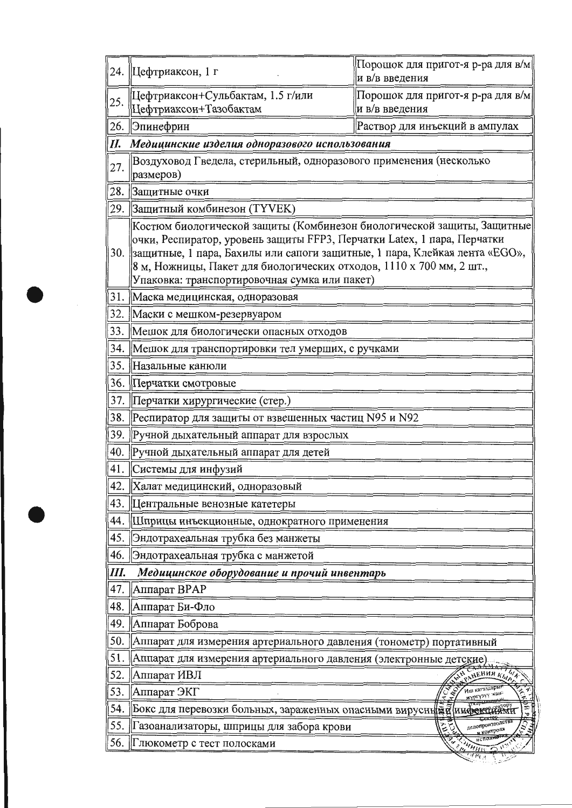| 24. | Цефтриаксон, 1 г                                                                                                                                                                                                                                                                                                                                             | Порошок для пригот-я р-ра для в/м<br>и в/в введения |
|-----|--------------------------------------------------------------------------------------------------------------------------------------------------------------------------------------------------------------------------------------------------------------------------------------------------------------------------------------------------------------|-----------------------------------------------------|
| 25. | Цефтриаксон+Сульбактам, 1.5 г/или<br>Цефтриаксон+Тазобактам                                                                                                                                                                                                                                                                                                  | Порошок для пригот-я р-ра для в/м<br>и в/в введения |
| 26. | Эпинефрин                                                                                                                                                                                                                                                                                                                                                    | Раствор для инъекций в ампулах                      |
| П.  | Медицинские изделия одноразового использования                                                                                                                                                                                                                                                                                                               |                                                     |
| 27. | Воздуховод Гведела, стерильный, одноразового применения (несколько<br>размеров)                                                                                                                                                                                                                                                                              |                                                     |
| 28. | Защитные очки                                                                                                                                                                                                                                                                                                                                                |                                                     |
|     | 29. Защитный комбинезон (ТҮVEK)                                                                                                                                                                                                                                                                                                                              |                                                     |
|     | Костюм биологической защиты (Комбинезон биологической защиты, Защитные<br>очки, Респиратор, уровень защиты FFP3, Перчатки Latex, 1 пара, Перчатки<br>30. Защитные, 1 пара, Бахилы или сапоги защитные, 1 пара, Клейкая лента «EGO»,<br>8 м, Ножницы, Пакет для биологических отходов, 1110 х 700 мм, 2 шт.,<br>Упаковка: транспортировочная сумка или пакет) |                                                     |
| 31. | Маска медицинская, одноразовая                                                                                                                                                                                                                                                                                                                               |                                                     |
| 32. | Маски с мешком-резервуаром                                                                                                                                                                                                                                                                                                                                   |                                                     |
| 33. | Мешок для биологически опасных отходов                                                                                                                                                                                                                                                                                                                       |                                                     |
| 34. | Мешок для транспортировки тел умерших, с ручками                                                                                                                                                                                                                                                                                                             |                                                     |
| 35. | Назальные канюли                                                                                                                                                                                                                                                                                                                                             |                                                     |
| 36. | Перчатки смотровые                                                                                                                                                                                                                                                                                                                                           |                                                     |
| 37. | Перчатки хирургические (стер.)                                                                                                                                                                                                                                                                                                                               |                                                     |
| 38. | Респиратор для защиты от взвешенных частиц N95 и N92                                                                                                                                                                                                                                                                                                         |                                                     |
| 39. | Ручной дыхательный аппарат для взрослых                                                                                                                                                                                                                                                                                                                      |                                                     |
| 40. | Ручной дыхательный аппарат для детей                                                                                                                                                                                                                                                                                                                         |                                                     |
| 41. | Системы для инфузий                                                                                                                                                                                                                                                                                                                                          |                                                     |
| 42. | Халат медицинский, одноразовый                                                                                                                                                                                                                                                                                                                               |                                                     |
| 43. | Центральные венозные катетеры                                                                                                                                                                                                                                                                                                                                |                                                     |
| 44. | Шприцы инъекционные, однократного применения                                                                                                                                                                                                                                                                                                                 |                                                     |
| 45. | Эндотрахеальная трубка без манжеты                                                                                                                                                                                                                                                                                                                           |                                                     |
| 46. | Эндотрахеальная трубка с манжетой                                                                                                                                                                                                                                                                                                                            |                                                     |
| Ш.  | Медицинское оборудование и прочий инвентарь                                                                                                                                                                                                                                                                                                                  |                                                     |
| 47. | Аппарат ВРАР                                                                                                                                                                                                                                                                                                                                                 |                                                     |
| 48. | Аппарат Би-Фло                                                                                                                                                                                                                                                                                                                                               |                                                     |
| 49. | Аппарат Боброва                                                                                                                                                                                                                                                                                                                                              |                                                     |
| 50. | Аппарат для измерения артериального давления (тонометр) портативный                                                                                                                                                                                                                                                                                          |                                                     |
| 51. | Аппарат для измерения артериального давления (электронные детские)                                                                                                                                                                                                                                                                                           |                                                     |
| 52. | Аппарат ИВЛ                                                                                                                                                                                                                                                                                                                                                  | PAHEHHH K610                                        |
| 53. | Аппарат ЭКГ                                                                                                                                                                                                                                                                                                                                                  | Иш кагаздар<br><b>HBO</b><br><u>жүргү</u> зүү жан:  |
| 54. | Бокс для перевозки больных, зараженных опасными вирусний й инфект                                                                                                                                                                                                                                                                                            | ż.<br>ه                                             |
| 55. | Газоанализаторы, шприцы для забора крови                                                                                                                                                                                                                                                                                                                     | делопроизводства<br>ڿ<br>и контроля                 |
| 56. | Глюкометр с тест полосками                                                                                                                                                                                                                                                                                                                                   | <b>HHILL</b>                                        |
|     |                                                                                                                                                                                                                                                                                                                                                              | $\overline{d_{1}q_{1}}$                             |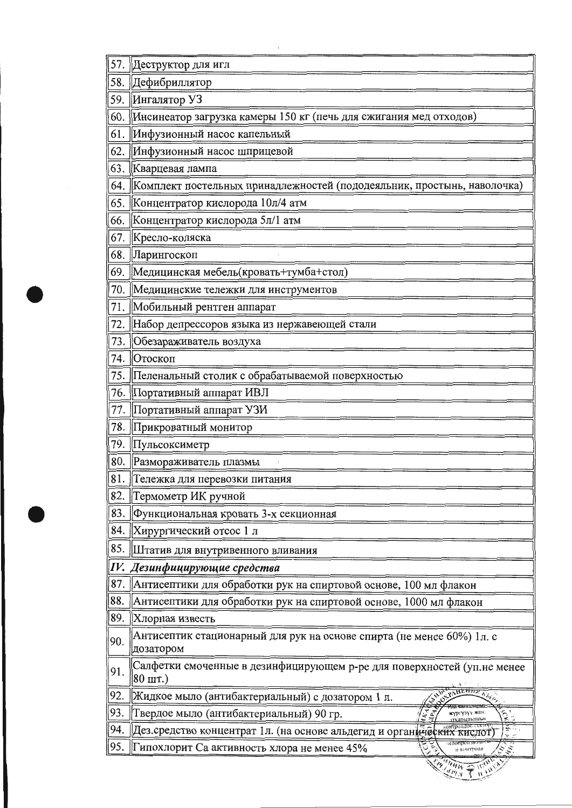| 57  | Деструктор для игл                                                                                                |
|-----|-------------------------------------------------------------------------------------------------------------------|
| 58  | Дефибриллятор                                                                                                     |
| 59. | Ингалятор УЗ                                                                                                      |
| 60  | Инсинеатор загрузка камеры 150 кг (печь для сжигания мед отходов)                                                 |
| 61  | Инфузионный насос капельный                                                                                       |
| 62. | Инфузионный насос шприцевой                                                                                       |
| 63. | Кварцевая лампа                                                                                                   |
| 64. | Комплект постельных принадлежностей (пододеяльник, простынь, наволочка)                                           |
| 65. | Концентратор кислорода 10л/4 атм                                                                                  |
| 66. | Концентратор кислорода 5л/1 атм                                                                                   |
| 67. | Кресло-коляска                                                                                                    |
| 68. | Ларингоскоп                                                                                                       |
| 69. | Медицинская мебель(кровать+тумба+стол)                                                                            |
| 70. | Медицинские тележки для инструментов                                                                              |
| 71  | Мобильный рентген аппарат                                                                                         |
| 72. | Набор депрессоров языка из нержавеющей стали                                                                      |
| 73. | Обезараживатель воздуха                                                                                           |
| 74. | Отоскоп                                                                                                           |
| 75. | Пеленальный столик с обрабатываемой поверхностью                                                                  |
| 76. | Портативный аппарат ИВЛ                                                                                           |
| 77. | Портативный аппарат УЗИ                                                                                           |
| 78. | Прикроватный монитор                                                                                              |
| 79. | ∥Пульсоксиметр                                                                                                    |
| 80. | Размораживатель плазмы                                                                                            |
| 81. | Тележка для перевозки питания                                                                                     |
| 82. | Термометр ИК ручной                                                                                               |
| 83. | Функциональная кровать 3-х секционная                                                                             |
| 84. | Хирургический отсос 1 л                                                                                           |
| 85. | Штатив для внутривенного вливания                                                                                 |
|     | IV. Дезинфицирующие средства                                                                                      |
| 87. | Антисептики для обработки рук на спиртовой основе, 100 мл флакон                                                  |
| 88. | Антисептики для обработки рук на спиртовой основе, 1000 мл флакон                                                 |
| 89. | Хлорная известь                                                                                                   |
| 90. | Антисептик стационарный для рук на основе спирта (не менее 60%) 1л. с<br>дозатором                                |
| 91. | Салфетки смоченные в дезинфицирующем р-ре для поверхностей (уп.не менее<br>$ 80 \text{ mT.})$                     |
| 92. | Жидкое мыло (антибактериальный) с дозатором 1 л.                                                                  |
| 93. | Твердое мыло (антибактериальный) 90 гр.<br>жүргүзүү жан:<br>атқарылышын                                           |
| 94. | онтроидос статор<br>$\tilde{\mathbf{x}}$<br>Дез средство концентрат 1л. (на основе альдегид и органических кислот |
| 95. | Гипохлорит Са активность хлора не менее 45%<br>$\mathcal{H}_{H}$<br>и контроля                                    |
|     | $^{\prime\prime}$ H <sub>HV</sub><br><b>Bydlan</b><br>₩                                                           |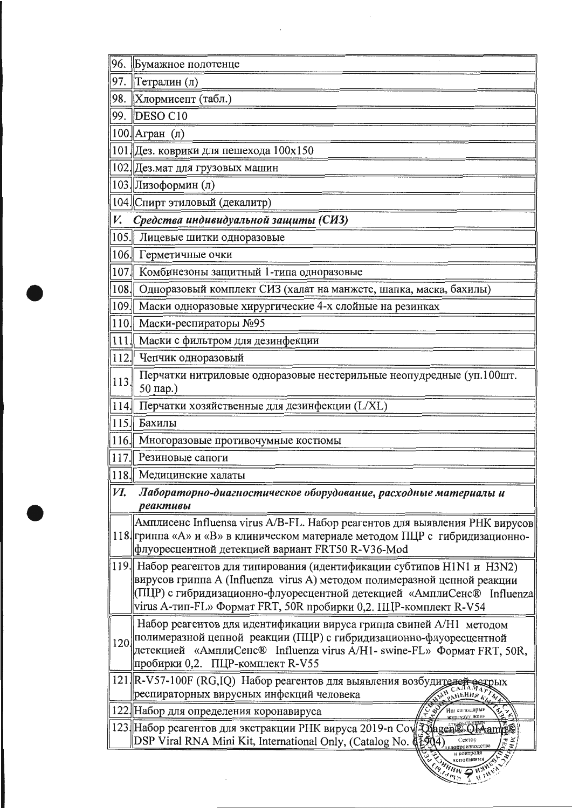| 96.  | Бумажное полотенце                                                                                                                                                                                                                                                                                  |
|------|-----------------------------------------------------------------------------------------------------------------------------------------------------------------------------------------------------------------------------------------------------------------------------------------------------|
| 97.  | Тетралин (л)                                                                                                                                                                                                                                                                                        |
| 98.  | Хлормисепт (табл.)                                                                                                                                                                                                                                                                                  |
| 99.  | $\vert$ DESO C10                                                                                                                                                                                                                                                                                    |
|      | 100. Агран (л)                                                                                                                                                                                                                                                                                      |
|      | 101. Дез. коврики для пешехода 100х150                                                                                                                                                                                                                                                              |
|      | 102. Дез.мат для грузовых машин                                                                                                                                                                                                                                                                     |
|      | 103. Лизоформин (л)                                                                                                                                                                                                                                                                                 |
|      | 104. Спирт этиловый (декалитр)                                                                                                                                                                                                                                                                      |
| V.   | Средства индивидуальной защиты (СИЗ)                                                                                                                                                                                                                                                                |
| 105. | Лицевые шитки одноразовые                                                                                                                                                                                                                                                                           |
|      | 106. Герметичные очки                                                                                                                                                                                                                                                                               |
| 107  | Комбинезоны защитный 1-типа одноразовые                                                                                                                                                                                                                                                             |
| 108. | Одноразовый комплект СИЗ (халат на манжете, шапка, маска, бахилы)                                                                                                                                                                                                                                   |
| 109. | Маски одноразовые хирургические 4-х слойные на резинках                                                                                                                                                                                                                                             |
|      | 110. Маски-респираторы №95                                                                                                                                                                                                                                                                          |
| 111. | Маски с фильтром для дезинфекции                                                                                                                                                                                                                                                                    |
| 112. | Чепчик одноразовый                                                                                                                                                                                                                                                                                  |
| 113. | Перчатки нитриловые одноразовые нестерильные неопудредные (уп.100шт.<br>50 пар.)                                                                                                                                                                                                                    |
| 114. | Перчатки хозяйственные для дезинфекции (L/XL)                                                                                                                                                                                                                                                       |
|      | 115. Бахилы                                                                                                                                                                                                                                                                                         |
|      | 116. Многоразовые противочумные костюмы                                                                                                                                                                                                                                                             |
| 117. | Резиновые сапоги                                                                                                                                                                                                                                                                                    |
|      | 118. Медицинские халаты                                                                                                                                                                                                                                                                             |
| И.   | Лабораторно-диагностическое оборудование, расходные материалы и                                                                                                                                                                                                                                     |
|      | реактивы                                                                                                                                                                                                                                                                                            |
|      | Амплисенс Influensa virus A/B-FL. Набор реагентов для выявления РНК вирусов<br>118 гриппа «А» и «В» в клиническом материале методом ПЦР с гибридизационно-<br>флуоресцентной детекцией вариант FRT50 R-V36-Mod                                                                                      |
|      | 119. Набор реагентов для типирования (идентификации субтипов H1N1 и H3N2)<br>вирусов гриппа A (Influenza virus A) методом полимеразной цепной реакции<br>(ПЦР) с гибридизационно-флуоресцентной детекцией «АмплиСенс® Influenza<br>virus A-тип-FL» Формат FRT, 50R пробирки 0,2. ПЦР-комплект R-V54 |
|      | Набор реагентов для идентификации вируса гриппа свиней А/Н1 методом<br>120 лолимеразной цепной реакции (ПЦР) с гибридизационно-флуоресцентной<br>детекцией «АмплиСенс® Influenza virus A/H1- swine-FL» Формат FRT, 50R,<br>пробирки 0,2. ПЦР-комплект R-V55                                         |
|      | 121 R-V57-100F (RG,IQ) Набор реагентов для выявления возбудителей<br>pыx<br>респираторных вирусных инфекций человека<br>OAHLHHR K                                                                                                                                                                   |
|      | 122. Набор для определения коронавируса<br>Иш кагаздарын<br>$\mathbf{v}_{\mathbf{z}}$<br>сургузуу жана                                                                                                                                                                                              |
|      | 123 Набор реагентов для экстракции РНК вируса 2019-n Cov Juagen Clinamy<br>DSP Viral RNA Mini Kit, International Only, (Catalog No. (12904)<br>Сектор<br>ಕ ತ<br>سم تق<br>попроизводства                                                                                                             |
|      | ELAHHHW A HANN<br>Winns                                                                                                                                                                                                                                                                             |

 $\sim 100$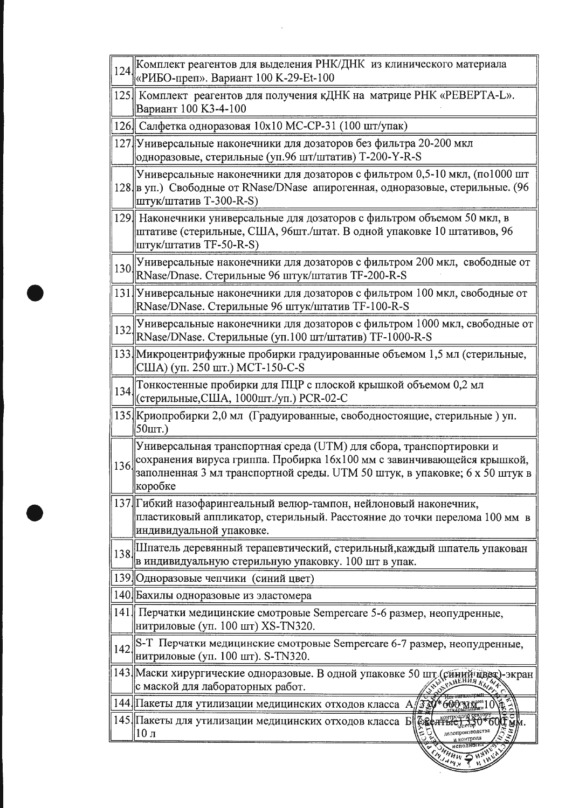| 124  | Комплект реагентов для выделения РНК/ДНК из клинического материала<br>«РИБО-преп». Вариант 100 К-29-Et-100                                                                                                                               |
|------|------------------------------------------------------------------------------------------------------------------------------------------------------------------------------------------------------------------------------------------|
|      | 125. Комплект реагентов для получения кДНК на матрице РНК «РЕВЕРТА-L».<br>Вариант 100 КЗ-4-100                                                                                                                                           |
|      | 126 Салфетка одноразовая 10х10 МС-СР-31 (100 шт/упак)                                                                                                                                                                                    |
|      | 127 Универсальные наконечники для дозаторов без фильтра 20-200 мкл<br>одноразовые, стерильные (уп.96 шт/штатив) T-200-Y-R-S                                                                                                              |
|      | Универсальные наконечники для дозаторов с фильтром 0,5-10 мкл, (по1000 шт<br>128 В уп.) Свободные от RNase/DNase апирогенная, одноразовые, стерильные. (96<br>штук/штатив T-300-R-S)                                                     |
|      | 129. Наконечники универсальные для дозаторов с фильтром объемом 50 мкл, в<br>штативе (стерильные, США, 96шт./штат. В одной упаковке 10 штативов, 96<br>штук/штатив TF-50-R-S)                                                            |
| 130. | Универсальные наконечники для дозаторов с фильтром 200 мкл, свободные от<br>RNase/Dnase. Стерильные 96 штук/штатив TF-200-R-S                                                                                                            |
|      | 131 Универсальные наконечники для дозаторов с фильтром 100 мкл, свободные от<br>RNase/DNase. Стерильные 96 штук/штатив TF-100-R-S                                                                                                        |
| 132  | Универсальные наконечники для дозаторов с фильтром 1000 мкл, свободные от<br>RNase/DNase. Стерильные (уп.100 шт/штатив) TF-1000-R-S                                                                                                      |
|      | 133. Микроцентрифужные пробирки градуированные объемом 1,5 мл (стерильные,<br>США) (уп. 250 шт.) МСТ-150-С-S                                                                                                                             |
|      | 134 Тонкостенные пробирки для ПЦР с плоской крышкой объемом 0,2 мл<br>(стерильные, США, 1000шт./уп.) PCR-02-C                                                                                                                            |
|      | 135. Криопробирки 2,0 мл (Градуированные, свободностоящие, стерильные) уп.<br>$50III$ .)                                                                                                                                                 |
| 136  | Универсальная транспортная среда (UTM) для сбора, транспортировки и<br>сохранения вируса гриппа. Пробирка 16х100 мм с завинчивающейся крышкой,<br>заполненная 3 мл транспортной среды. UTM 50 штук, в упаковке; 6 х 50 штук в<br>kopooke |
|      | 137 Гибкий назофарингеальный велюр-тампон, нейлоновый наконечник,<br>пластиковый аппликатор, стерильный. Расстояние до точки перелома 100 мм в<br>индивидуальной упаковке.                                                               |
| 138. | Шпатель деревянный терапевтический, стерильный, каждый шпатель упакован<br>в индивидуальную стерильную упаковку. 100 шт в упак.                                                                                                          |
|      | 139 Одноразовые чепчики (синий цвет)                                                                                                                                                                                                     |
|      | 140 Бахилы одноразовые из эластомера                                                                                                                                                                                                     |
|      | 141. Перчатки медицинские смотровые Sempercare 5-6 размер, неопудренные,<br>нитриловые (уп. 100 шт) XS-TN320.                                                                                                                            |
| 142  | S-T Перчатки медицинские смотровые Sempercare 6-7 размер, неопудренные,<br>нитриловые (уп. 100 шт). S-TN320.                                                                                                                             |
|      | 143 Маски хирургические одноразовые. В одной упаковке 50 шт (синий швет)-экран<br>с маской для лабораторных работ.                                                                                                                       |
|      | 144. Пакеты для утилизации медицинских отходов класса $A_n$<br>330*600 MM 10                                                                                                                                                             |
|      | 145. Пакеты для утилизации медицинских отходов класса Б<br><b>беся Нье) 330*60</b><br>делопроизводства<br>$ 10 \text{ J}$<br>4 контроля                                                                                                  |
|      | нсполнен<br><b>CHANN P</b><br>Emman .                                                                                                                                                                                                    |

 $\label{eq:2.1} \frac{1}{\sqrt{2}}\left(\frac{1}{\sqrt{2}}\right)^{2} \left(\frac{1}{\sqrt{2}}\right)^{2} \left(\frac{1}{\sqrt{2}}\right)^{2} \left(\frac{1}{\sqrt{2}}\right)^{2} \left(\frac{1}{\sqrt{2}}\right)^{2} \left(\frac{1}{\sqrt{2}}\right)^{2} \left(\frac{1}{\sqrt{2}}\right)^{2} \left(\frac{1}{\sqrt{2}}\right)^{2} \left(\frac{1}{\sqrt{2}}\right)^{2} \left(\frac{1}{\sqrt{2}}\right)^{2} \left(\frac{1}{\sqrt{2}}\right)^{2} \left(\$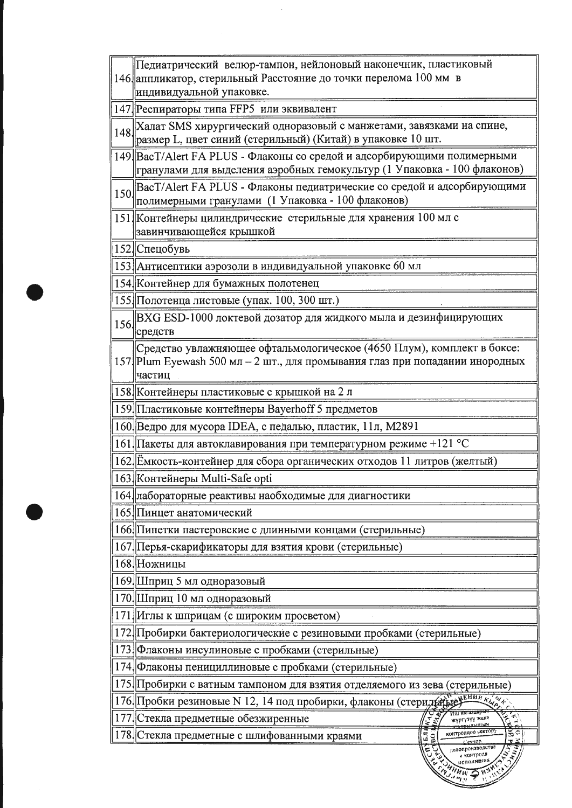|     | Педиатрический велюр-тампон, нейлоновый наконечник, пластиковый                                                                                                   |
|-----|-------------------------------------------------------------------------------------------------------------------------------------------------------------------|
|     | 146 аппликатор, стерильный Расстояние до точки перелома 100 мм в                                                                                                  |
|     | индивидуальной упаковке.                                                                                                                                          |
|     | 147 Респираторы типа FFP5 или эквивалент                                                                                                                          |
|     | 148 Халат SMS хирургический одноразовый с манжетами, завязками на спине,<br>размер L, цвет синий (стерильный) (Китай) в упаковке 10 шт.                           |
|     | 149. ВасТ/Alert FA PLUS - Флаконы со средой и адсорбирующими полимерными<br>гранулами для выделения аэробных гемокультур (1 Упаковка - 100 флаконов)              |
| 150 | BacT/Alert FA PLUS - Флаконы педиатрические со средой и адсорбирующими<br>полимерными гранулами (1 Упаковка - 100 флаконов)                                       |
|     | 151 Контейнеры цилиндрические стерильные для хранения 100 мл с<br>завинчивающейся крышкой                                                                         |
|     | 152 Спецобувь                                                                                                                                                     |
|     | 153. Антисептики аэрозоли в индивидуальной упаковке 60 мл                                                                                                         |
|     | 154. Контейнер для бумажных полотенец                                                                                                                             |
|     | 155. Полотенца листовые (упак. 100, 300 шт.)                                                                                                                      |
|     | 156 ВХС ESD-1000 локтевой дозатор для жидкого мыла и дезинфицирующих<br>средств                                                                                   |
|     | Средство увлажняющее офтальмологическое (4650 Плум), комплект в боксе:<br>157. Plum Eyewash 500 мл - 2 шт., для промывания глаз при попадании инородных<br>частиц |
|     | 158 Контейнеры пластиковые с крышкой на 2 л                                                                                                                       |
|     | 159. Пластиковые контейнеры Bayerhoff 5 предметов                                                                                                                 |
|     | 160 Ведро для мусора IDEA, с педалью, пластик, 11л, М2891                                                                                                         |
|     | 161  Пакеты для автоклавирования при температурном режиме +121 °С                                                                                                 |
|     | 162 Емкость-контейнер для сбора органических отходов 11 литров (желтый)                                                                                           |
|     | 163. Контейнеры Multi-Safe opti                                                                                                                                   |
|     | 164 лабораторные реактивы наобходимые для диагностики                                                                                                             |
|     | 165. Пинцет анатомический                                                                                                                                         |
|     | 166. Пипетки пастеровские с длинными концами (стерильные)                                                                                                         |
|     | 167 Перья-скарификаторы для взятия крови (стерильные)                                                                                                             |
|     | 168 Ножницы                                                                                                                                                       |
|     | 169 Шприц 5 мл одноразовый                                                                                                                                        |
|     | 170. Шприц 10 мл одноразовый                                                                                                                                      |
|     | 171 Иглы к шприцам (с широким просветом)                                                                                                                          |
|     | 172 Пробирки бактериологические с резиновыми пробками (стерильные)                                                                                                |
|     | 173. Флаконы инсулиновые с пробками (стерильные)                                                                                                                  |
|     | 174. Флаконы пенициллиновые с пробками (стерильные)                                                                                                               |
|     | 175. Пробирки с ватным тампоном для взятия отделяемого из зева (стерильные)                                                                                       |
|     | 176. Пробки резиновые N 12, 14 под пробирки, флаконы (стериды времения к                                                                                          |
|     | 177 Стекла предметные обезжиренные<br>اسم<br>ب<br>жүргүзүү жана                                                                                                   |
|     |                                                                                                                                                                   |

 $\ddot{\phantom{a}}$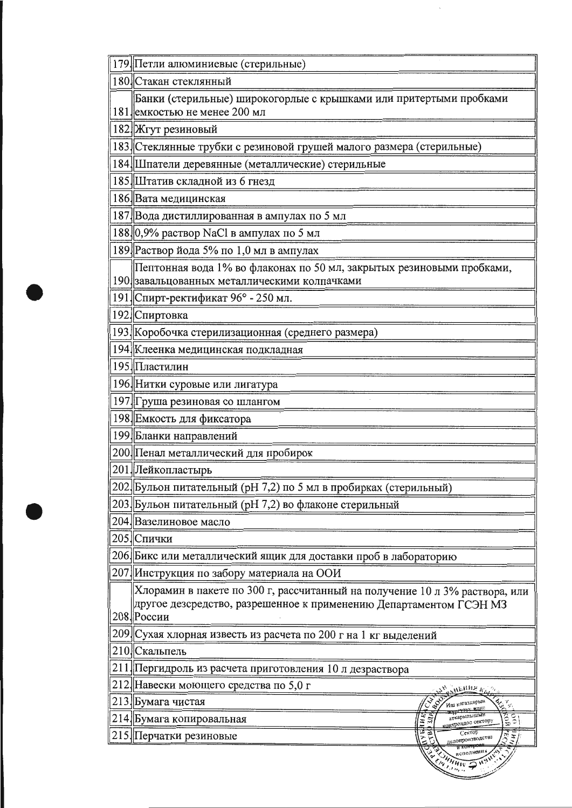| 179. Петли алюминиевые (стерильные)                                                                                                                             |
|-----------------------------------------------------------------------------------------------------------------------------------------------------------------|
| 180 Стакан стеклянный                                                                                                                                           |
| Банки (стерильные) широкогорлые с крышками или притертыми пробками<br>181 емкостью не менее 200 мл                                                              |
| 182 Жгут резиновый                                                                                                                                              |
| 183 Стеклянные трубки с резиновой грушей малого размера (стерильные)                                                                                            |
| 184. Шпатели деревянные (металлические) стерильные                                                                                                              |
| 185 Штатив складной из 6 гнезд                                                                                                                                  |
| 186 Вата медицинская                                                                                                                                            |
| 187. Вода дистиллированная в ампулах по 5 мл                                                                                                                    |
| 188 0,9% раствор NaCl в ампулах по 5 мл                                                                                                                         |
| 189. Раствор йода 5% по 1,0 мл в ампулах                                                                                                                        |
| Пептонная вода 1% во флаконах по 50 мл, закрытых резиновыми пробками,<br>190 завальцованных металлическими колпачками                                           |
| 191 Спирт-ректификат 96° - 250 мл.                                                                                                                              |
| 192 Спиртовка                                                                                                                                                   |
| 193. Коробочка стерилизационная (среднего размера)                                                                                                              |
| 194 Клеенка медицинская подкладная                                                                                                                              |
| 195. Пластилин                                                                                                                                                  |
| 196. Нитки суровые или лигатура                                                                                                                                 |
| 197. Груша резиновая со шлангом                                                                                                                                 |
| 198 Емкость для фиксатора                                                                                                                                       |
| 199 Бланки направлений                                                                                                                                          |
| 200 Пенал металлический для пробирок                                                                                                                            |
| 201 Лейкопластырь                                                                                                                                               |
| 202 Бульон питательный (рН 7,2) по 5 мл в пробирках (стерильный)                                                                                                |
| 203. Бульон питательный (рН 7,2) во флаконе стерильный                                                                                                          |
| 204 Вазелиновое масло                                                                                                                                           |
| 205. Спички                                                                                                                                                     |
| 206. Бикс или металлический ящик для доставки проб в лабораторию                                                                                                |
| 207. Инструкция по забору материала на ООИ                                                                                                                      |
| Хлорамин в пакете по 300 г, рассчитанный на получение 10 л 3% раствора, или<br>другое дезсредство, разрешенное к применению Департаментом ГСЭН МЗ<br>208 России |
| 209 Сухая хлорная известь из расчета по 200 г на 1 кг выделений                                                                                                 |
| 210 Скальпель                                                                                                                                                   |
| 211 Пергидроль из расчета приготовления 10 л дезраствора                                                                                                        |
| 212. Навески моющего средства по 5,0 г<br>, ныня л                                                                                                              |
| 213 Бумага чистая<br>مي<br>من<br>Иш кагаздарын<br><del>чэүх жант</del>                                                                                          |
| ट्टेंश<br>$\frac{1}{2}$<br>аткарынышын<br>214 Бумага копировальная<br>сонтроидое сектору                                                                        |
| Сектор<br>215. Перчатки резиновые<br>делопроизводства                                                                                                           |
| WHAIN PHY                                                                                                                                                       |

 $\bar{\mathcal{A}}$